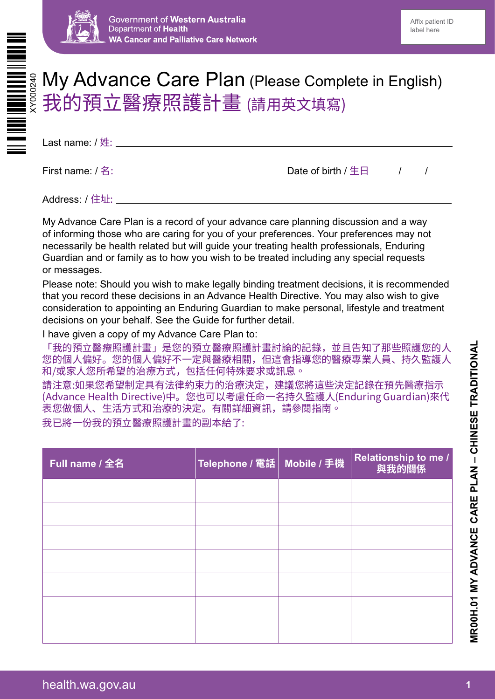

# My Advance Care Plan (Please Complete in English) <mark>我的預立醫療照護計</mark>畫 (請用英文填寫)

Last name: / 姓:

First name: / 名: <br>
Date of birth / 生日 / / /

Address: / 住址:

My Advance Care Plan is a record of your advance care planning discussion and a way of informing those who are caring for you of your preferences. Your preferences may not necessarily be health related but will guide your treating health professionals, Enduring Guardian and or family as to how you wish to be treated including any special requests or messages.

Please note: Should you wish to make legally binding treatment decisions, it is recommended that you record these decisions in an Advance Health Directive. You may also wish to give consideration to appointing an Enduring Guardian to make personal, lifestyle and treatment decisions on your behalf. See the Guide for further detail.

I have given a copy of my Advance Care Plan to:

「我的預立醫療照護計畫」是您的預立醫療照護計畫討論的記錄,並且告知了那些照護您的人 您的個人偏好。您的個人偏好不一定與醫療相關,但這會指導您的醫療專業人員、持久監護人 和/或家人您所希望的治療方式,包括任何特殊要求或訊息。

請注意:如果您希望制定具有法律約束力的治療決定,建議您將這些決定記錄在預先醫療指示 (Advance Health Directive)中。您也可以考慮任命一名持久監護人(Enduring Guardian)來代 表您做個人、生活方式和治療的決定。有關詳細資訊,請參閱指南。

我已將一份我的預立醫療照護計畫的副本給了:

| Full name / 全名 | Telephone / 電話   Mobile / 手機 | Relationship to me /<br>與我的關係 |
|----------------|------------------------------|-------------------------------|
|                |                              |                               |
|                |                              |                               |
|                |                              |                               |
|                |                              |                               |
|                |                              |                               |
|                |                              |                               |
|                |                              |                               |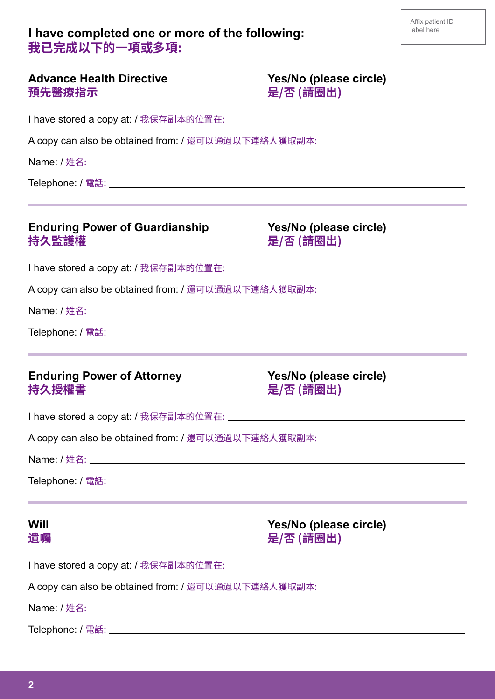### **I have completed one or more of the following: 我已完成以下的一項或多項:**

| <b>Advance Health Directive</b><br>預先醫療指示           | Yes/No (please circle)<br>是/否 (請圈出)                                                                                                                          |
|-----------------------------------------------------|--------------------------------------------------------------------------------------------------------------------------------------------------------------|
|                                                     |                                                                                                                                                              |
| A copy can also be obtained from: / 還可以通過以下連絡人獲取副本: |                                                                                                                                                              |
|                                                     |                                                                                                                                                              |
|                                                     | <u> 1989 - Andrea Santa Andrea Andrea Andrea Andrea Andrea Andrea Andrea Andrea Andrea Andrea Andrea Andrea Andr</u>                                         |
| <b>Enduring Power of Guardianship</b><br>持久監護權      | Yes/No (please circle)<br>是/否 (請圈出)                                                                                                                          |
|                                                     |                                                                                                                                                              |
| A copy can also be obtained from: / 還可以通過以下連絡人獲取副本: |                                                                                                                                                              |
|                                                     |                                                                                                                                                              |
|                                                     |                                                                                                                                                              |
| <b>Enduring Power of Attorney</b><br>持久授權書          | <u> 1989 - Jan Samuel Barbara, margaret eta bat zuen 1989an bat zuen bat zuen bat zuen bat zuen bat zuen bat zuen</u><br>Yes/No (please circle)<br>是/否 (請圈出) |
|                                                     |                                                                                                                                                              |
| A copy can also be obtained from: / 還可以通過以下連絡人獲取副本: |                                                                                                                                                              |
|                                                     |                                                                                                                                                              |
|                                                     |                                                                                                                                                              |
| Will<br>遺囑                                          | Yes/No (please circle)<br>是/否 (請圈出)                                                                                                                          |
|                                                     |                                                                                                                                                              |
| A copy can also be obtained from: / 還可以通過以下連絡人獲取副本: |                                                                                                                                                              |
|                                                     |                                                                                                                                                              |
|                                                     |                                                                                                                                                              |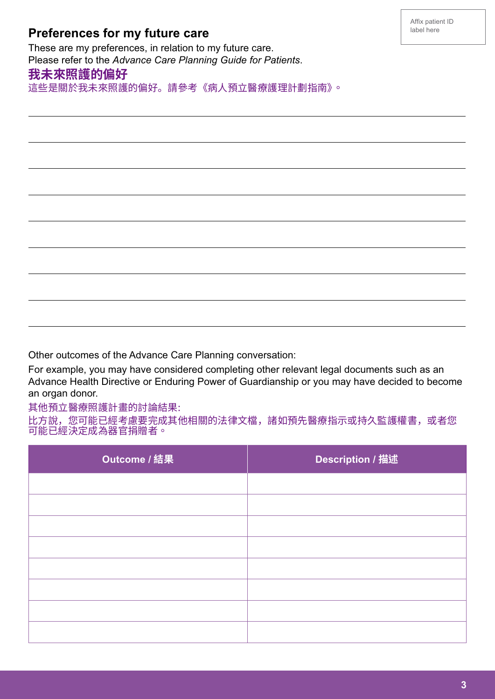| 這些走關於我木米照護的偏好。請參考《病人預业醫獠護理計劃指用》。                                                                                                                                                                                                                                                                                                                               |                  |  |  |
|----------------------------------------------------------------------------------------------------------------------------------------------------------------------------------------------------------------------------------------------------------------------------------------------------------------------------------------------------------------|------------------|--|--|
|                                                                                                                                                                                                                                                                                                                                                                |                  |  |  |
|                                                                                                                                                                                                                                                                                                                                                                |                  |  |  |
|                                                                                                                                                                                                                                                                                                                                                                |                  |  |  |
|                                                                                                                                                                                                                                                                                                                                                                |                  |  |  |
|                                                                                                                                                                                                                                                                                                                                                                |                  |  |  |
|                                                                                                                                                                                                                                                                                                                                                                |                  |  |  |
|                                                                                                                                                                                                                                                                                                                                                                |                  |  |  |
|                                                                                                                                                                                                                                                                                                                                                                |                  |  |  |
| Other outcomes of the Advance Care Planning conversation:<br>For example, you may have considered completing other relevant legal documents such as an<br>Advance Health Directive or Enduring Power of Guardianship or you may have decided to become<br>an organ donor.<br>其他預立醫療照護計畫的討論結果:<br>比方說,您可能已經考慮要完成其他相關的法律文檔,諸如預先醫療指示或持久監護權書,或者您<br>可能已經決定成為器官捐贈者。 |                  |  |  |
| Outcome / 結果                                                                                                                                                                                                                                                                                                                                                   | Description / 描述 |  |  |
|                                                                                                                                                                                                                                                                                                                                                                |                  |  |  |
|                                                                                                                                                                                                                                                                                                                                                                |                  |  |  |

## **Preferences for my future care**

These are my preferences, in relation to my future care. Please refer to the *Advance Care Planning Guide for Patients*.

### **我未來照護的偏好**

這些是關於我未來照護的偏好。請參考《病人預立醫療護理計劃指南》。